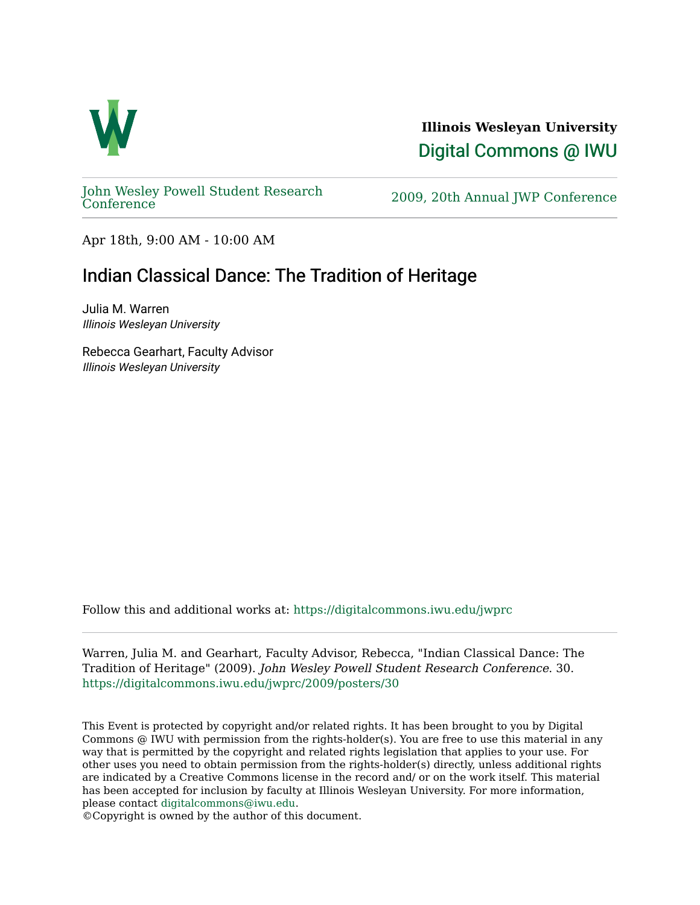

**Illinois Wesleyan University**  [Digital Commons @ IWU](https://digitalcommons.iwu.edu/) 

[John Wesley Powell Student Research](https://digitalcommons.iwu.edu/jwprc) 

2009, 20th Annual JWP [Conference](https://digitalcommons.iwu.edu/jwprc)

Apr 18th, 9:00 AM - 10:00 AM

## Indian Classical Dance: The Tradition of Heritage

Julia M. Warren Illinois Wesleyan University

Rebecca Gearhart, Faculty Advisor Illinois Wesleyan University

Follow this and additional works at: [https://digitalcommons.iwu.edu/jwprc](https://digitalcommons.iwu.edu/jwprc?utm_source=digitalcommons.iwu.edu%2Fjwprc%2F2009%2Fposters%2F30&utm_medium=PDF&utm_campaign=PDFCoverPages) 

Warren, Julia M. and Gearhart, Faculty Advisor, Rebecca, "Indian Classical Dance: The Tradition of Heritage" (2009). John Wesley Powell Student Research Conference. 30. [https://digitalcommons.iwu.edu/jwprc/2009/posters/30](https://digitalcommons.iwu.edu/jwprc/2009/posters/30?utm_source=digitalcommons.iwu.edu%2Fjwprc%2F2009%2Fposters%2F30&utm_medium=PDF&utm_campaign=PDFCoverPages)

This Event is protected by copyright and/or related rights. It has been brought to you by Digital Commons @ IWU with permission from the rights-holder(s). You are free to use this material in any way that is permitted by the copyright and related rights legislation that applies to your use. For other uses you need to obtain permission from the rights-holder(s) directly, unless additional rights are indicated by a Creative Commons license in the record and/ or on the work itself. This material has been accepted for inclusion by faculty at Illinois Wesleyan University. For more information, please contact [digitalcommons@iwu.edu.](mailto:digitalcommons@iwu.edu)

©Copyright is owned by the author of this document.